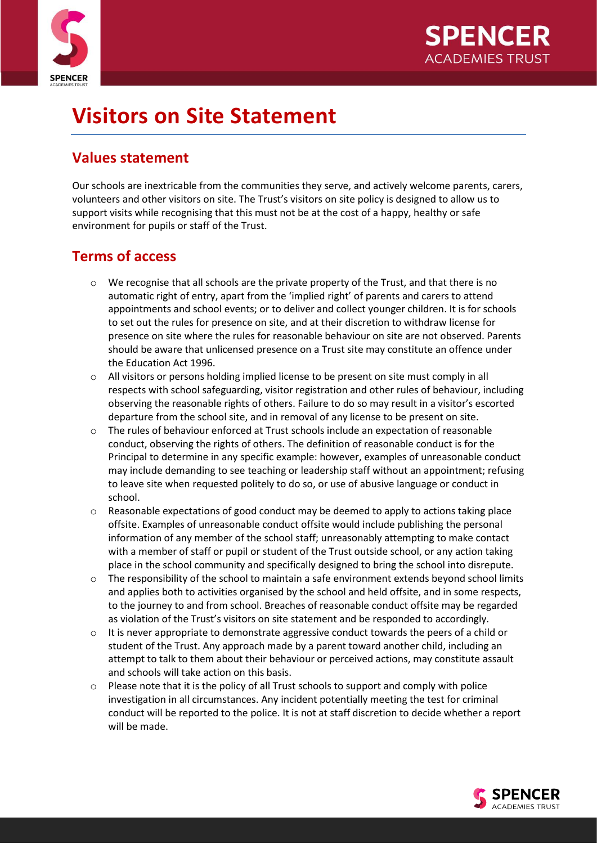



# **Visitors on Site Statement**

### **Values statement**

Our schools are inextricable from the communities they serve, and actively welcome parents, carers, volunteers and other visitors on site. The Trust's visitors on site policy is designed to allow us to support visits while recognising that this must not be at the cost of a happy, healthy or safe environment for pupils or staff of the Trust.

#### **Terms of access**

- $\circ$  We recognise that all schools are the private property of the Trust, and that there is no automatic right of entry, apart from the 'implied right' of parents and carers to attend appointments and school events; or to deliver and collect younger children. It is for schools to set out the rules for presence on site, and at their discretion to withdraw license for presence on site where the rules for reasonable behaviour on site are not observed. Parents should be aware that unlicensed presence on a Trust site may constitute an offence under the Education Act 1996.
- o All visitors or persons holding implied license to be present on site must comply in all respects with school safeguarding, visitor registration and other rules of behaviour, including observing the reasonable rights of others. Failure to do so may result in a visitor's escorted departure from the school site, and in removal of any license to be present on site.
- The rules of behaviour enforced at Trust schools include an expectation of reasonable conduct, observing the rights of others. The definition of reasonable conduct is for the Principal to determine in any specific example: however, examples of unreasonable conduct may include demanding to see teaching or leadership staff without an appointment; refusing to leave site when requested politely to do so, or use of abusive language or conduct in school.
- $\circ$  Reasonable expectations of good conduct may be deemed to apply to actions taking place offsite. Examples of unreasonable conduct offsite would include publishing the personal information of any member of the school staff; unreasonably attempting to make contact with a member of staff or pupil or student of the Trust outside school, or any action taking place in the school community and specifically designed to bring the school into disrepute.
- $\circ$  The responsibility of the school to maintain a safe environment extends beyond school limits and applies both to activities organised by the school and held offsite, and in some respects, to the journey to and from school. Breaches of reasonable conduct offsite may be regarded as violation of the Trust's visitors on site statement and be responded to accordingly.
- It is never appropriate to demonstrate aggressive conduct towards the peers of a child or student of the Trust. Any approach made by a parent toward another child, including an attempt to talk to them about their behaviour or perceived actions, may constitute assault and schools will take action on this basis.
- $\circ$  Please note that it is the policy of all Trust schools to support and comply with police investigation in all circumstances. Any incident potentially meeting the test for criminal conduct will be reported to the police. It is not at staff discretion to decide whether a report will be made.